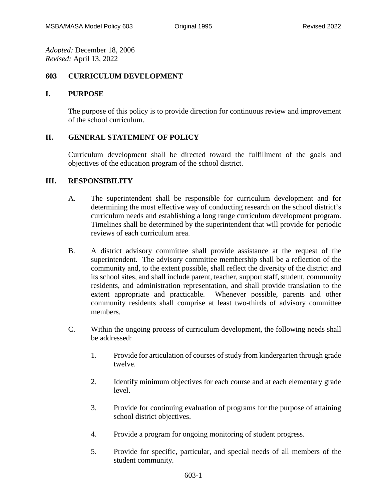*Adopted:* December 18, 2006 *Revised:* April 13, 2022

## **603 CURRICULUM DEVELOPMENT**

## **I. PURPOSE**

The purpose of this policy is to provide direction for continuous review and improvement of the school curriculum.

## **II. GENERAL STATEMENT OF POLICY**

Curriculum development shall be directed toward the fulfillment of the goals and objectives of the education program of the school district.

## **III. RESPONSIBILITY**

- A. The superintendent shall be responsible for curriculum development and for determining the most effective way of conducting research on the school district's curriculum needs and establishing a long range curriculum development program. Timelines shall be determined by the superintendent that will provide for periodic reviews of each curriculum area.
- B. A district advisory committee shall provide assistance at the request of the superintendent. The advisory committee membership shall be a reflection of the community and, to the extent possible, shall reflect the diversity of the district and its school sites, and shall include parent, teacher, support staff, student, community residents, and administration representation, and shall provide translation to the extent appropriate and practicable. Whenever possible, parents and other community residents shall comprise at least two-thirds of advisory committee members.
- C. Within the ongoing process of curriculum development, the following needs shall be addressed:
	- 1. Provide for articulation of courses of study from kindergarten through grade twelve.
	- 2. Identify minimum objectives for each course and at each elementary grade level.
	- 3. Provide for continuing evaluation of programs for the purpose of attaining school district objectives.
	- 4. Provide a program for ongoing monitoring of student progress.
	- 5. Provide for specific, particular, and special needs of all members of the student community.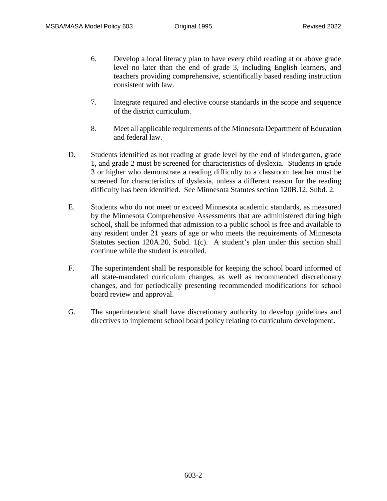- 6. Develop a local literacy plan to have every child reading at or above grade level no later than the end of grade 3, including English learners, and teachers providing comprehensive, scientifically based reading instruction consistent with law.
- 7. Integrate required and elective course standards in the scope and sequence of the district curriculum.
- 8. Meet all applicable requirements of the Minnesota Department of Education and federal law.
- D. Students identified as not reading at grade level by the end of kindergarten, grade 1, and grade 2 must be screened for characteristics of dyslexia. Students in grade 3 or higher who demonstrate a reading difficulty to a classroom teacher must be screened for characteristics of dyslexia, unless a different reason for the reading difficulty has been identified. See Minnesota Statutes section 120B.12, Subd. 2.
- E. Students who do not meet or exceed Minnesota academic standards, as measured by the Minnesota Comprehensive Assessments that are administered during high school, shall be informed that admission to a public school is free and available to any resident under 21 years of age or who meets the requirements of Minnesota Statutes section 120A.20, Subd. 1(c). A student's plan under this section shall continue while the student is enrolled.
- F. The superintendent shall be responsible for keeping the school board informed of all state-mandated curriculum changes, as well as recommended discretionary changes, and for periodically presenting recommended modifications for school board review and approval.
- G. The superintendent shall have discretionary authority to develop guidelines and directives to implement school board policy relating to curriculum development.